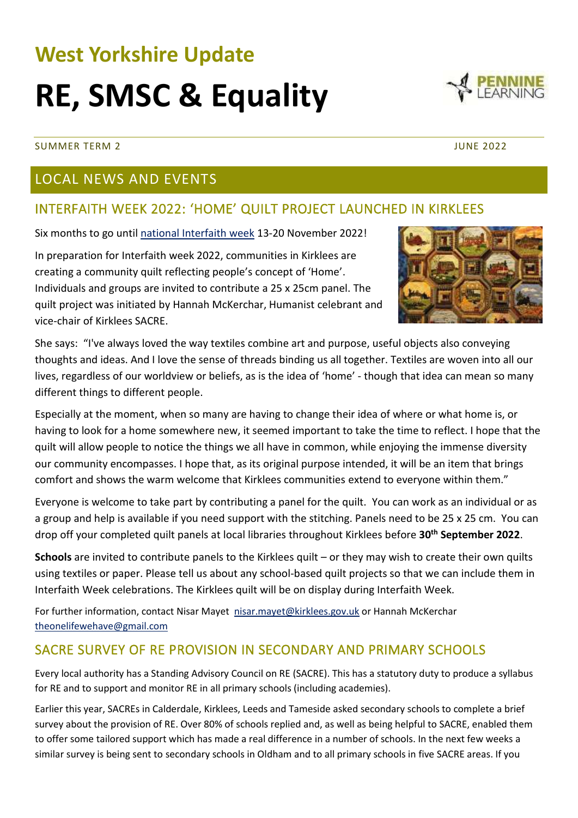# **West Yorkshire Update**

## **RE, SMSC & Equality**

#### SUMMER TERM 2 JUNE 2022

#### LOCAL NEWS AND EVENTS

#### INTERFAITH WEEK 2022: 'HOME' QUILT PROJECT LAUNCHED IN KIRKLEES

Six months to go unti[l national Interfaith week](https://www.interfaithweek.org/) 13-20 November 2022!

In preparation for Interfaith week 2022, communities in Kirklees are creating a community quilt reflecting people's concept of 'Home'. Individuals and groups are invited to contribute a 25 x 25cm panel. The quilt project was initiated by Hannah McKerchar, Humanist celebrant and vice-chair of Kirklees SACRE.

She says: "I've always loved the way textiles combine art and purpose, useful objects also conveying thoughts and ideas. And I love the sense of threads binding us all together. Textiles are woven into all our lives, regardless of our worldview or beliefs, as is the idea of 'home' - though that idea can mean so many different things to different people.

Especially at the moment, when so many are having to change their idea of where or what home is, or having to look for a home somewhere new, it seemed important to take the time to reflect. I hope that the quilt will allow people to notice the things we all have in common, while enjoying the immense diversity our community encompasses. I hope that, as its original purpose intended, it will be an item that brings comfort and shows the warm welcome that Kirklees communities extend to everyone within them."

Everyone is welcome to take part by contributing a panel for the quilt. You can work as an individual or as a group and help is available if you need support with the stitching. Panels need to be 25 x 25 cm. You can drop off your completed quilt panels at local libraries throughout Kirklees before **30th September 2022**.

**Schools** are invited to contribute panels to the Kirklees quilt – or they may wish to create their own quilts using textiles or paper. Please tell us about any school-based quilt projects so that we can include them in Interfaith Week celebrations. The Kirklees quilt will be on display during Interfaith Week.

For further information, contact Nisar Mayet [nisar.mayet@kirklees.gov.uk](mailto:nisar.mayet@kirklees.gov.uk) or Hannah McKerchar [theonelifewehave@gmail.com](mailto:theonelifewehave@gmail.com)

#### SACRE SURVEY OF RE PROVISION IN SECONDARY AND PRIMARY SCHOOLS

Every local authority has a Standing Advisory Council on RE (SACRE). This has a statutory duty to produce a syllabus for RE and to support and monitor RE in all primary schools (including academies).

Earlier this year, SACREs in Calderdale, Kirklees, Leeds and Tameside asked secondary schools to complete a brief survey about the provision of RE. Over 80% of schools replied and, as well as being helpful to SACRE, enabled them to offer some tailored support which has made a real difference in a number of schools. In the next few weeks a similar survey is being sent to secondary schools in Oldham and to all primary schools in five SACRE areas. If you



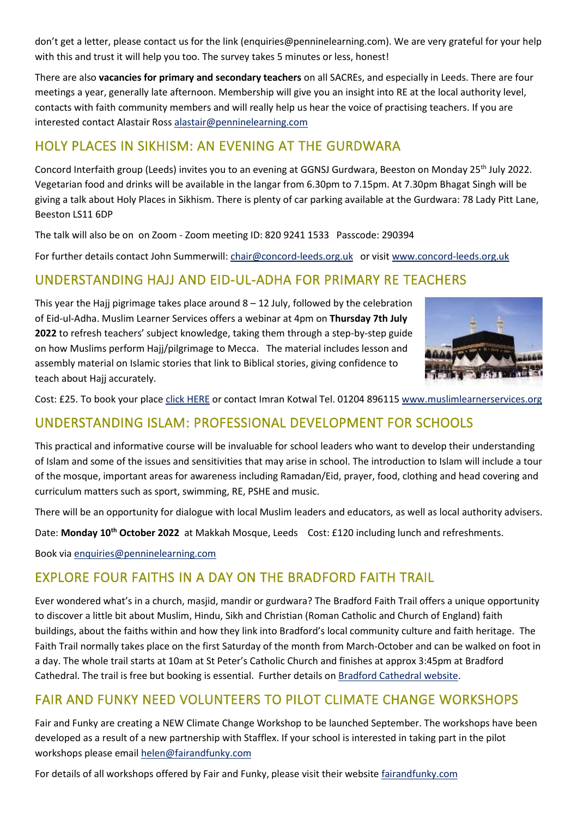don't get a letter, please contact us for the link (enquiries@penninelearning.com). We are very grateful for your help with this and trust it will help you too. The survey takes 5 minutes or less, honest!

There are also **vacancies for primary and secondary teachers** on all SACREs, and especially in Leeds. There are four meetings a year, generally late afternoon. Membership will give you an insight into RE at the local authority level, contacts with faith community members and will really help us hear the voice of practising teachers. If you are interested contact Alastair Ros[s alastair@penninelearning.com](mailto:alastair@penninelearning.com)

#### HOLY PLACES IN SIKHISM: AN EVENING AT THE GURDWARA

Concord Interfaith group (Leeds) invites you to an evening at GGNSJ Gurdwara, Beeston on Monday 25th July 2022. Vegetarian food and drinks will be available in the langar from 6.30pm to 7.15pm. At 7.30pm Bhagat Singh will be giving a talk about Holy Places in Sikhism. There is plenty of car parking available at the Gurdwara: 78 Lady Pitt Lane, Beeston LS11 6DP

The talk will also be on on Zoom - Zoom meeting ID: 820 9241 1533 Passcode: 290394

For further details contact John Summerwill[: chair@concord-leeds.org.uk](mailto:chair@concord-leeds.org.uk) or visit [www.concord-leeds.org.uk](http://www.concord-leeds.org.uk/)

#### UNDERSTANDING HAJJ AND EID-UL-ADHA FOR PRIMARY RE TEACHERS

This year the Hajj pigrimage takes place around  $8 - 12$  July, followed by the celebration of Eid-ul-Adha. Muslim Learner Services offers a webinar at 4pm on **Thursday 7th July 2022** to refresh teachers' subject knowledge, taking them through a step-by-step guide on how Muslims perform Hajj/pilgrimage to Mecca. The material includes lesson and assembly material on Islamic stories that link to Biblical stories, giving confidence to teach about Haij accurately.



Cost: £25. To book your plac[e click HERE](https://zfrmz.com/QO0GcTb3rI5EsBHsRBs2) or contact Imran Kotwal Tel. 01204 896115 [www.muslimlearnerservices.org](http://www.muslimlearnerservices.org/)

#### UNDERSTANDING ISLAM: PROFESSIONAL DEVELOPMENT FOR SCHOOLS

This practical and informative course will be invaluable for school leaders who want to develop their understanding of Islam and some of the issues and sensitivities that may arise in school. The introduction to Islam will include a tour of the mosque, important areas for awareness including Ramadan/Eid, prayer, food, clothing and head covering and curriculum matters such as sport, swimming, RE, PSHE and music.

There will be an opportunity for dialogue with local Muslim leaders and educators, as well as local authority advisers.

Date: **Monday 10th October 2022** at Makkah Mosque, Leeds Cost: £120 including lunch and refreshments.

Book via [enquiries@penninelearning.com](mailto:enquiries@penninelearning.com)

#### EXPLORE FOUR FAITHS IN A DAY ON THE BRADFORD FAITH TRAIL

Ever wondered what's in a church, masjid, mandir or gurdwara? The Bradford Faith Trail offers a unique opportunity to discover a little bit about Muslim, Hindu, Sikh and Christian (Roman Catholic and Church of England) faith buildings, about the faiths within and how they link into Bradford's local community culture and faith heritage. The Faith Trail normally takes place on the first Saturday of the month from March-October and can be walked on foot in a day. The whole trail starts at 10am at St Peter's Catholic Church and finishes at approx 3:45pm at Bradford Cathedral. The trail is free but booking is essential. Further details o[n Bradford Cathedral website.](https://bradfordcathedral.org/visit/faith-trail)

#### FAIR AND FUNKY NEED VOLUNTEERS TO PILOT CLIMATE CHANGE WORKSHOPS

Fair and Funky are creating a NEW Climate Change Workshop to be launched September. The workshops have been developed as a result of a new partnership with Stafflex. If your school is interested in taking part in the pilot workshops please email [helen@fairandfunky.com](mailto:helen@fairandfunky.com)

For details of all workshops offered by Fair and Funky, please visit their website [fairandfunky.com](https://www.fairandfunky.com/)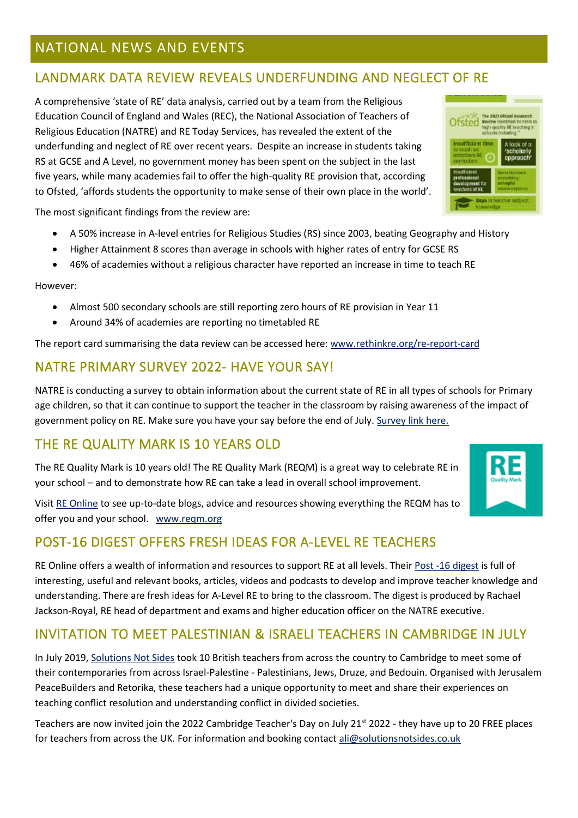#### NATIONAL NEWS AND EVENTS

#### LANDMARK DATA REVIEW REVEALS UNDERFUNDING AND NEGLECT OF RE

A comprehensive 'state of RE' data analysis, carried out by a team from the Religious Education Council of England and Wales (REC), the National Association of Teachers of Religious Education (NATRE) and RE Today Services, has revealed the extent of the underfunding and neglect of RE over recent years. Despite an increase in students taking RS at GCSE and A Level, no government money has been spent on the subject in the last five years, while many academies fail to offer the high-quality RE provision that, according to Ofsted, 'affords students the opportunity to make sense of their own place in the world'.

The most significant findings from the review are:

- A 50% increase in A-level entries for Religious Studies (RS) since 2003, beating Geography and History
- Higher Attainment 8 scores than average in schools with higher rates of entry for GCSE RS
- 46% of academies without a religious character have reported an increase in time to teach RE

However:

- Almost 500 secondary schools are still reporting zero hours of RE provision in Year 11
- Around 34% of academies are reporting no timetabled RE

The report card summarising the data review can be accessed here: [www.rethinkre.org/re-report-card](http://www.rethinkre.org/re-report-card)

#### NATRE PRIMARY SURVEY 2022- HAVE YOUR SAY!

NATRE is conducting a survey to obtain information about the current state of RE in all types of schools for Primary age children, so that it can continue to support the teacher in the classroom by raising awareness of the impact of government policy on RE. Make sure you have your say before the end of July. [Survey link here.](https://www.natre.org.uk/news/latest-news/natre-primary-survey-2022-have-your-say/)

#### THE RE QUALITY MARK IS 10 YEARS OLD

The RE Quality Mark is 10 years old! The RE Quality Mark (REQM) is a great way to celebrate RE in your school – and to demonstrate how RE can take a lead in overall school improvement.

Visit [RE Online](https://www.reonline.org.uk/leadership/resource-of-the-month/) to see up-to-date blogs, advice and resources showing everything the REQM has to offer you and your school. [www.reqm.org](http://www.reqm.org/)

#### POST-16 DIGEST OFFERS FRESH IDEAS FOR A-LEVEL RE TEACHERS

RE Online offers a wealth of information and resources to support RE at all levels. Their [Post -16 digest](https://www.reonline.org.uk/teaching-resources/whats-new-an-a-level-digest/) is full of interesting, useful and relevant books, articles, videos and podcasts to develop and improve teacher knowledge and understanding. There are fresh ideas for A-Level RE to bring to the classroom. The digest is produced by Rachael Jackson-Royal, RE head of department and exams and higher education officer on the NATRE executive.

#### INVITATION TO MEET PALESTINIAN & ISRAELI TEACHERS IN CAMBRIDGE IN JULY

In July 2019, [Solutions Not Sides](https://solutionsnotsides.co.uk/) took 10 British teachers from across the country to Cambridge to meet some of their contemporaries from across Israel-Palestine - Palestinians, Jews, Druze, and Bedouin. Organised with Jerusalem PeaceBuilders and Retorika, these teachers had a unique opportunity to meet and share their experiences on teaching conflict resolution and understanding conflict in divided societies.

Teachers are now invited join the 2022 Cambridge Teacher's Day on July 21<sup>st</sup> 2022 - they have up to 20 FREE places for teachers from across the UK. For information and booking contact [ali@solutionsnotsides.co.uk](mailto:ali@solutionsnotsides.co.uk)



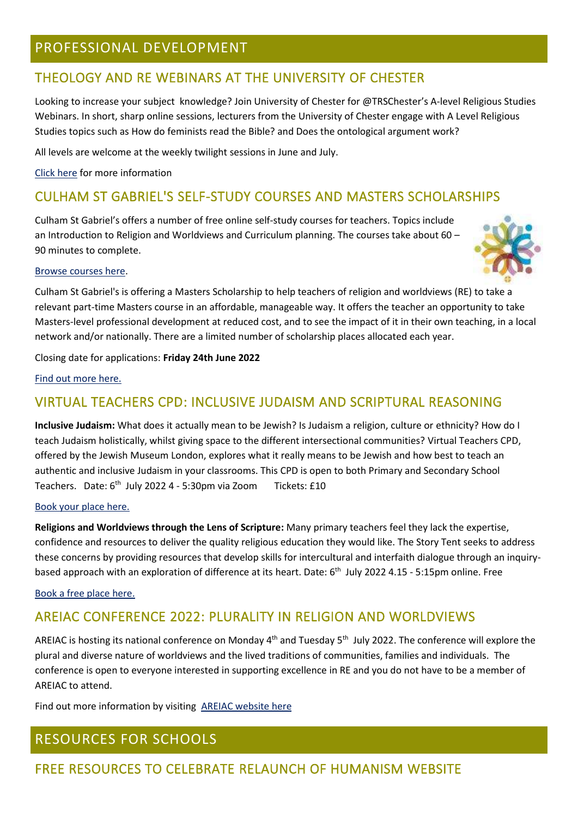#### PROFESSIONAL DEVELOPMENT

#### THEOLOGY AND RE WEBINARS AT THE UNIVERSITY OF CHESTER

Looking to increase your subject knowledge? Join University of Chester for @TRSChester's A-level Religious Studies Webinars. In short, sharp online sessions, lecturers from the University of Chester engage with A Level Religious Studies topics such as How do feminists read the Bible? and Does the ontological argument work?

All levels are welcome at the weekly twilight sessions in June and July.

[Click here](•%09https:/www.eventbrite.com/cc/theology-and-religious-studies-webinars-2022-229079) for more information

#### CULHAM ST GABRIEL'S SELF-STUDY COURSES AND MASTERS SCHOLARSHIPS

Culham St Gabriel's offers a number of free online self-study courses for teachers. Topics include an Introduction to Religion and Worldviews and Curriculum planning. The courses take about 60 – 90 minutes to complete.



#### [Browse courses here.](https://courses.cstg.org.uk/)

Culham St Gabriel's is offering a Masters Scholarship to help teachers of religion and worldviews (RE) to take a relevant part-time Masters course in an affordable, manageable way. It offers the teacher an opportunity to take Masters-level professional development at reduced cost, and to see the impact of it in their own teaching, in a local network and/or nationally. There are a limited number of scholarship places allocated each year.

Closing date for applications: **Friday 24th June 2022**

[Find out more here.](https://www.cstg.org.uk/grants/individual/masters-scholarship/)

#### VIRTUAL TEACHERS CPD: INCLUSIVE JUDAISM AND SCRIPTURAL REASONING

**Inclusive Judaism:** What does it actually mean to be Jewish? Is Judaism a religion, culture or ethnicity? How do I teach Judaism holistically, whilst giving space to the different intersectional communities? Virtual Teachers CPD, offered by the Jewish Museum London, explores what it really means to be Jewish and how best to teach an authentic and inclusive Judaism in your classrooms. This CPD is open to both Primary and Secondary School Teachers. Date: 6<sup>th</sup> July 2022 4 - 5:30pm via Zoom Tickets: £10

#### [Book your place here.](https://jewishmuseum.org.uk/event/inclusive-judaism-online-teachers-cpd/)

**Religions and Worldviews through the Lens of Scripture:** Many primary teachers feel they lack the expertise, confidence and resources to deliver the quality religious education they would like. The Story Tent seeks to address these concerns by providing resources that develop skills for intercultural and interfaith dialogue through an inquirybased approach with an exploration of difference at its heart. Date: 6<sup>th</sup> July 2022 4.15 - 5:15pm online. Free

#### [Book a free place here.](https://www.eventbrite.com/e/religions-and-worldviews-through-the-lens-of-scripture-tickets-344241795477)

#### AREIAC CONFERENCE 2022: PLURALITY IN RELIGION AND WORLDVIEWS

AREIAC is hosting its national conference on Monday  $4<sup>th</sup>$  and Tuesday 5<sup>th</sup> July 2022. The conference will explore the plural and diverse nature of worldviews and the lived traditions of communities, families and individuals. The conference is open to everyone interested in supporting excellence in RE and you do not have to be a member of AREIAC to attend.

Find out more information by visiting [AREIAC website here](https://www.areiac.org.uk/conference)

#### RESOURCES FOR SCHOOLS

#### FREE RESOURCES TO CELEBRATE RELAUNCH OF HUMANISM WEBSITE